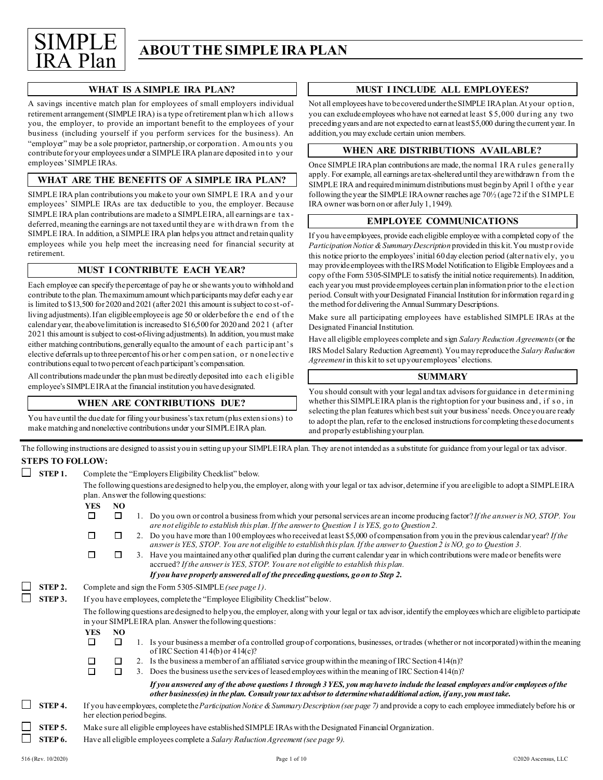

# **ABOUT THE SIMPLE IRA PLAN**

### **WHAT IS A SIMPLE IRA PLAN?**

A savings incentive match plan for employees of small employers individual retirement arrangement (SIMPLE IRA) is a type of retirement plan wh ich allows you, the employer, to provide an important benefit to the employees of your business (including yourself if you perform services for the business). An "employer" may be a sole proprietor, partnership, or corporation . Am ou nts y ou contribute for your employees under a SIMPLE IRA plan are deposited in to y our employees'SIMPLE IRAs.

### **WHAT ARE THE BENEFITS OF A SIMPLE IRA PLAN?**

SIMPLE IRA plan contributions you make to your own SIMPLE IRA an d y o ur employees' SIMPLE IRAs are tax deductible to you, the employer. Because SIMPLE IRA plan contributions are made to a SIMPLE IRA, all earnings are tax deferred, meaning the earnings are not taxed until they are with drawn from th e SIMPLE IRA. In addition, a SIMPLE IRA plan helps you attract and retain quality employees while you help meet the increasing need for financial security at retirement.

### **MUST I CONTRIBUTE EACH YEAR?**

Each employee can specify the percentage of pay he or she wants you to withhold and contribute to the plan. The maximum amount which participants may defer each y ear is limited to \$13,500 for 2020 and 2021 (after 2021 this amount is subject to co st-ofliving adjustments). If an eligible employee is age 50 or older before th e end o f th e calendar year, the above limitation is increased to \$16,500 for 2020 and 202 1 (after 2021 this amount is subject to cost-of-living adjustments). In addition, you must make either matching contributions, generally equal to the amount of each particip ant's elective deferrals up to three percent of his or her compensation, or nonelective contributions equal to two percent of each participant's compensation.

All contributions made under the plan must be directly deposited into each eligible employee's SIMPLE IRA at the financial institution you have designated.

### **WHEN ARE CONTRIBUTIONS DUE?**

You have until the due date for filing your business's tax return (plus extensions) to make matching and nonelective contributions under your SIMPLE IRA plan.

### **MUST I INCLUDE ALL EMPLOYEES?**

Not all employees have to be covered under the SIMPLE IRA plan. At your op tio n, you can exclude employees who have not earned at least \$ 5,000 d uring any two preceding years and are not expected to earn at least \$5,000 during the current year. In addition, you may exclude certain union members.

### **WHEN ARE DISTRIBUTIONS AVAILABLE?**

Once SIMPLE IRA plan contributions are made, the normal IRA rules generally apply. For example, all earnings are tax-sheltered until they are withdrawn from th e SIMPLE IRA and required minimum distributions must begin by April 1 of th e y ear following the year the SIMPLE IRA owner reaches age 70½ (age 72 if th e SIMPLE IRA owner was born on or after July 1, 1949).

### **EMPLOYEE COMMUNICATIONS**

If you have employees, provide each eligible employee with a completed copy of the *Participation Notice & Summary Description* provided in this kit. You must provide this notice prior to the employees'initial 60 day election period (alternativ ely, yo u may provide employees with the IRS Model Notification to Eligible Employees and a copy of the Form 5305-SIMPLE to satisfy the initial notice requirements). In addition, each year you must provide employees certain plan information prior to the election period. Consult with your Designated Financial Institution for information regard in g the method for delivering the Annual Summary Descriptions.

Make sure all participating employees have established SIMPLE IRAs at the Designated Financial Institution.

Have all eligible employees complete and sign *Salary Reduction Agreements*(or the IRS Model Salary Reduction Agreement). You may reproduce the *Salary Reduction Agreement* in this kit to set up your employees' elections.

### **SUMMARY**

You should consult with your legal and tax advisors for guidance in d etermining whether this SIMPLE IRA plan is the right option for your business and , if s o , in selecting the plan features which best suit your business'needs. Once you are ready to adopt the plan, refer to the enclosed instructions for completing these documents and properly establishing your plan.

The following instructions are designed to assist you in setting up your SIMPLE IRA plan. They are not intended as a substitute for guidance from your legal or tax advisor. **STEPS TO FOLLOW:**

**STEP 1.** Complete the "Employers Eligibility Checklist" below.

The following questions are designed to help you, the employer, along with your legal or tax advisor, determine if you are eligible to adopt a SIMPLE IRA plan. Answer the following questions:

**YES NO**

 $\Box$ 

- $\Box$ 1. Do you own or control a business from which your personal services are an income producing factor? *If the answer is NO, STOP. You are not eligible to establish this plan. If the answer to Question 1 is YES, go to Question 2.*
- $\Box$  $\Box$ 2. Do you have more than 100 employees who received at least \$5,000 of compensation from you in the previous calendar year? *If the answer is YES, STOP. You are not eligible to establish this plan. If the answer to Question 2 is NO, go to Question 3.*  $\Box$

 $\Box$ 3. Have you maintained any other qualified plan during the current calendar year in which contributions were made or benefits were accrued? *If the answer is YES, STOP. You are not eligible to establish this plan.*

*If you have properly answered all of the preceding questions, go on to Step 2.*

- **STEP 2.** Complete and sign the Form 5305-SIMPLE *(see page 1)*.
	- **STEP 3.** If you have employees, complete the "Employee Eligibility Checklist" below.

The following questions are designed to help you, the employer, along with your legal or tax advisor, identify the employees which are eligible to participate in your SIMPLE IRA plan. Answer the following questions:

**YES NO**

П

- □ 1. Is your business a member of a controlled group of corporations, businesses, or trades (whether or not incorporated) within the meaning of IRC Section 414(b) or 414(c)?
- $\Box$  $\Box$ 2. Is the business a member of an affiliated service group within the meaning of IRC Section 414(n)?  $\Box$ 
	- $\Box$ 3. Does the business use the services of leased employees within the meaning of IRC Section 414(n)?

*If you answered any of the above questions 1 through 3 YES, you may have to include the leased employees and/or employees of the other business(es) in the plan. Consult your tax advisor to determine what additional action, if any, you must take.*

- **STEP 4.** If you have employees, complete the *Participation Notice & Summary Description (see page 7)* and provide a copy to each employee immediately before his or her election period begins.
- **STEP 5.** Make sure all eligible employees have established SIMPLE IRAs with the Designated Financial Organization.
	- **STEP 6.** Have all eligible employees complete a *Salary Reduction Agreement (see page 9)*.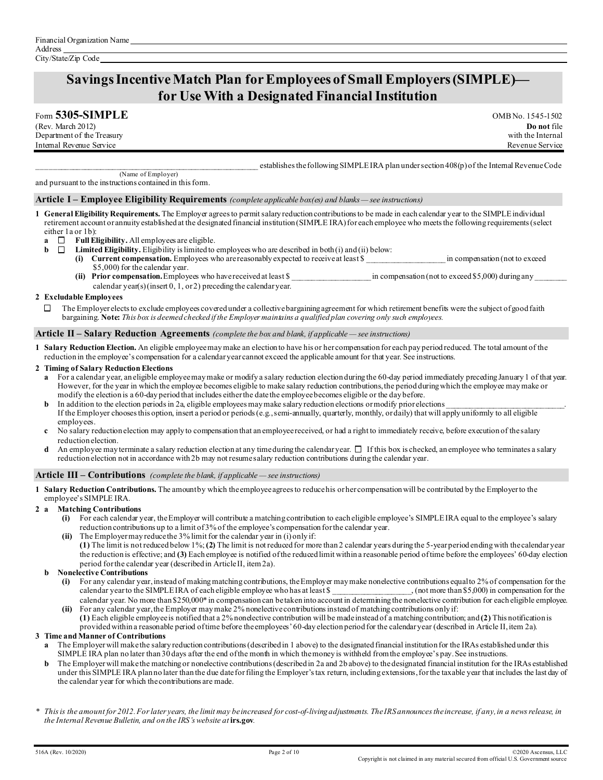City/State/Zip Code

# **Savings Incentive Match Plan for Employees of Small Employers (SIMPLE) for Use With a Designated Financial Institution**

### Form **5305-SIMPLE** OMB No. 1545-1502

(Rev. March 2012) **Do not** file Department of the Treasury with the Internal Internal Revenue Service Revenue Service Revenue Service Revenue Service Revenue Service

(Name of Employer)

and pursuant to the instructions contained in this form.

### **Article I – Employee Eligibility Requirements** *(complete applicable box(es) and blanks — see instructions)*

- **1 General Eligibility Requirements.** The Employer agrees to permit salary reduction contributions to be made in each calendar year to the SIMPLE individual retirement account or annuity established at the designated financial institution (SIMPLE IRA) for each employee who meets the following requirements (select either 1a or 1b):
	- **a Full Eligibility.** All employees are eligible.
	- **b**  $\Box$  **Limited Eligibility.** Eligibility is limited to employees who are described in both (i) and (ii) below:
		- **(i) Current compensation.** Employees who are reasonably expected to receive at least \$ \_\_\_\_\_\_\_\_\_\_\_\_\_\_\_\_\_\_\_\_ in compensation (not to exceed \$5,000) for the calendar year.

establishes the following SIMPLE IRA plan under section  $408(p)$  of the Internal Revenue Code

**(ii) Prior compensation.**Employees who have received at least \$ \_\_\_\_\_\_\_\_\_\_\_\_\_\_\_\_\_\_\_\_ in compensation (not to exceed \$5,000) during any \_\_\_\_\_\_\_\_ calendar year(s) (insert  $0, 1,$  or  $2$ ) preceding the calendar year.

### **2 Excludable Employees**

П The Employer elects to exclude employees covered under a collective bargaining agreement for which retirement benefits were the subject of good faith bargaining. **Note:** *This box is deemed checked if the Employer maintains a qualified plan covering only such employees.*

### **Article II – Salary Reduction Agreements** *(complete the box and blank, if applicable — see instructions)*

**1 Salary Reduction Election.** An eligible employee may make an election to have his or her compensation for each pay period reduced. The total amount of the reduction in the employee's compensation for a calendar year cannot exceed the applicable amount for that year. See instructions.

#### **2 Timing of Salary Reduction Elections**

- **a** For a calendar year, an eligible employee may make or modify a salary reduction election during the 60-day period immediately preceding January 1 of that year. However, for the year in which the employee becomes eligible to make salary reduction contributions, the period during which the employee may make or modify the election is a 60-day period that includes either the date the employee becomes eligible or the day before.
- **b** In addition to the election periods in 2a, eligible employees may make salary reduction elections or modify prior elections If the Employer chooses this option, insert a period or periods (e.g., semi-annually, quarterly, monthly, or daily) that will apply uniformly to all eligible employees.
- **c** No salary reduction election may apply to compensation that an employee received, or had a right to immediately receive, before execution of the salary reduction election.
- **d** An employee may terminate a salary reduction election at any time during the calendar year.  $\Box$  If this box is checked, an employee who terminates a salary reduction election not in accordance with 2b may not resume salary reduction contributions during the calendar year.

### **Article III – Contributions** *(complete the blank, if applicable — see instructions)*

**1** Salary Reduction Contributions. The amount by which the employee agrees to reduce his or her compensation will be contributed by the Employer to the employee's SIMPLE IRA.

### **2 a Matching Contributions**

- **(i)** For each calendar year, the Employer will contribute a matching contribution to each eligible employee's SIMPLE IRA equal to the employee's salary reduction contributions up to a limit of 3% of the employee's compensation for the calendar year.
- **(ii)** The Employer may reduce the 3% limit for the calendar year in (i) only if: **(1)** The limit is not reduced below 1%; **(2)** The limit is not reduced for more than 2 calendar years during the 5-year period ending with the calendar year the reduction is effective; and **(3)** Each employee is notified of the reduced limit within a reasonable period of time before the employees' 60-day election period for the calendar year (described in Article II, item 2a).

### **b Nonelective Contributions**

- (i) For any calendar year, instead of making matching contributions, the Employer may make nonelective contributions equal to 2% of compensation for the calendar year to the SIMPLEIRA of each eligible employee who has at l calendar year to the SIMPLE IRA of each eligible employee who has at least \$ calendar year. No more than \$250,000\* in compensation can be taken into account in determining the nonelective contribution for each eligible employee.
- **(ii)** For any calendar year, the Employer may make 2% nonelective contributions instead of matching contributions only if: **(1)** Each eligible employee is notified that a 2% nonelective contribution will be made instead of a matching contribution; and **(2)** This notification is provided within a reasonable period of time before the employees'60-day election period for the calendar year (described in Article II, item 2a).

### **3 Time and Manner of Contributions**

- **a** The Employer will make the salary reduction contributions (described in 1 above) to the designated financial institution for the IRAs established under this SIMPLE IRA plan no later than 30 days after the end of the month in which the money is withheld from the employee's pay. See instructions.
- **b** The Employer will make the matching or nonelective contributions (described in 2a and 2b above) to the designated financial institution for the IRAs established under this SIMPLE IRA plan no later than the due date for filing the Employer's tax return, including extensions, for the taxable year that includes the last day of the calendar year for which the contributions are made.
- *\* This is the amount for 2012. For later years, the limit may be increased for cost-of-living adjustments. The IRS announces the increase, if any, in a news release, in the Internal Revenue Bulletin, and on the IRS's website at* **irs.gov***.*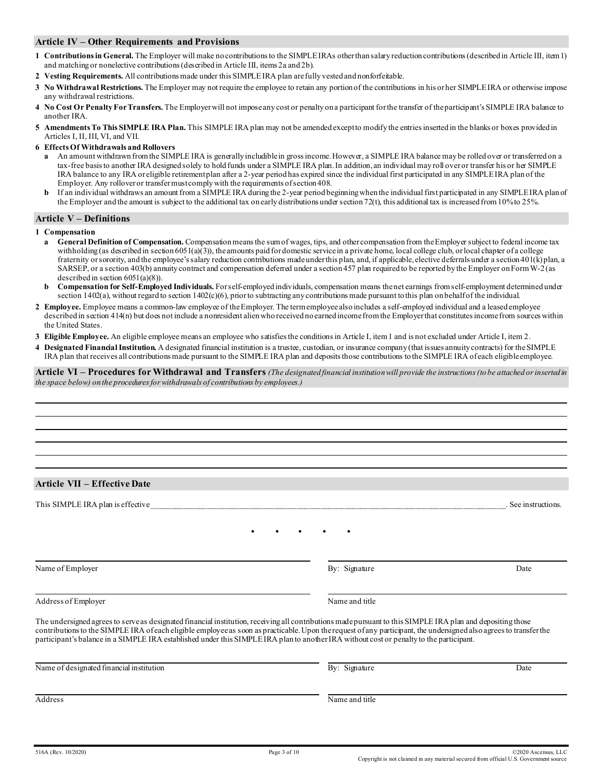### **Article IV – Other Requirements and Provisions**

- **1 Contributions in General.** The Employer will make no contributions to the SIMPLE IRAs other than salary reduction contributions (described in Article III, item1) and matching or nonelective contributions (described in Article III, items 2a and 2b).
- **2 Vesting Requirements.** All contributions made under this SIMPLE IRA plan are fully vested and nonforfeitable.
- **3 No Withdrawal Restrictions.** The Employer may not require the employee to retain any portion of the contributions in his or her SIMPLE IRA or otherwise impose any withdrawal restrictions.
- **4 No Cost Or Penalty For Transfers.** The Employer will not impose any cost or penalty on a participant for the transfer of the participant's SIMPLE IRA balance to another IRA.
- **5 Amendments To This SIMPLE IRA Plan.** This SIMPLE IRA plan may not be amended except to modify the entries inserted in the blanks or boxes provided in Articles I, II, III, VI, and VII.

### **6 Effects Of Withdrawals and Rollovers**

- An amount withdrawn from the SIMPLE IRA is generally includible in gross income. However, a SIMPLE IRA balance may be rolled over or transferred on a tax-free basis to another IRA designed solely to hold funds under a SIMPLE IRA plan. In addition, an individual may roll over or transfer his or her SIMPLE IRA balance to any IRA or eligible retirement plan after a 2-year period has expired since the individual first participated in any SIMPLE IRA plan of the Employer. Any rollover or transfer must comply with the requirements of section 408.
- **b** If an individual withdraws an amount from a SIMPLE IRA during the 2-year period beginning when the individual first participated in any SIMPLE IRA plan of the Employer and the amount is subject to the additional tax on early distributions under section 72(t), this additional tax is increased from 10% to 25%.

#### **Article V – Definitions**

### **1 Compensation**

- **a General Definition of Compensation.** Compensation means the sum of wages, tips, and other compensation from the Employer subject to federal income tax withholding (as described in section 6051(a)(3)), the amounts paid for domestic service in a private home, local college club, or local chapter of a college fraternity or sorority, and the employee's salary reduction contributions made under this plan, and, if applicable, elective deferrals under a section 401(k) plan, a SARSEP, or a section 403(b) annuity contract and compensation deferred under a section 457 plan required to be reported by the Employer on Form W-2 (as described in section 6051(a)(8)).
- **b Compensation for Self-Employed Individuals.** For self-employed individuals, compensation means the net earnings from self-employment determined under section  $1402(a)$ , without regard to section  $1402(c)(6)$ , prior to subtracting any contributions made pursuant to this plan on behalf of the individual.
- **2 Employee.** Employee means a common-law employee of the Employer. The term employee also includes a self-employed individual and a leased employee described in section 414(n) but does not include a nonresident alien who received no earned income from the Employer that constitutes income from sources within the United States.
- **3 Eligible Employee.** An eligible employee means an employee who satisfies the conditions in Article I, item 1 and is not excluded under Article I, item 2.
- **4 Designated Financial Institution.** A designated financial institution is a trustee, custodian, or insurance company (that issues annuity contracts) for the SIMPLE IRA plan that receives all contributions made pursuant to the SIMPLE IRA plan and deposits those contributions to the SIMPLE IRA of each eligible employee.

**Article VI – Procedures for Withdrawal and Transfers** *(The designated financial institution will provide the instructions (to be attached or inserted in the space below) on the procedures for withdrawals of contributions by employees.)*

### **Article VII – Effective Date**

| $A$ and $A$ and $B$ and $B$ and $B$ and $B$ and $B$ and $B$ |                                                                                                                                                                                                                                                                                                                                                                                                                                                                              |                     |
|-------------------------------------------------------------|------------------------------------------------------------------------------------------------------------------------------------------------------------------------------------------------------------------------------------------------------------------------------------------------------------------------------------------------------------------------------------------------------------------------------------------------------------------------------|---------------------|
| This SIMPLE IRA plan is effective                           |                                                                                                                                                                                                                                                                                                                                                                                                                                                                              | . See instructions. |
|                                                             |                                                                                                                                                                                                                                                                                                                                                                                                                                                                              |                     |
| Name of Employer                                            | By: Signature                                                                                                                                                                                                                                                                                                                                                                                                                                                                | Date                |
| Address of Employer                                         | Name and title                                                                                                                                                                                                                                                                                                                                                                                                                                                               |                     |
|                                                             | The undersigned agrees to serve as designated financial institution, receiving all contributions made pursuant to this SIMPLE IRA plan and depositing those<br>contributions to the SIMPLE IRA of each eligible employee as soon as practicable. Upon the request of any participant, the undersigned also agrees to transfer the<br>participant's balance in a SIMPLE IRA established under this SIMPLE IRA plan to another IRA without cost or penalty to the participant. |                     |
| Name of designated financial institution                    | By: Signature                                                                                                                                                                                                                                                                                                                                                                                                                                                                | Date                |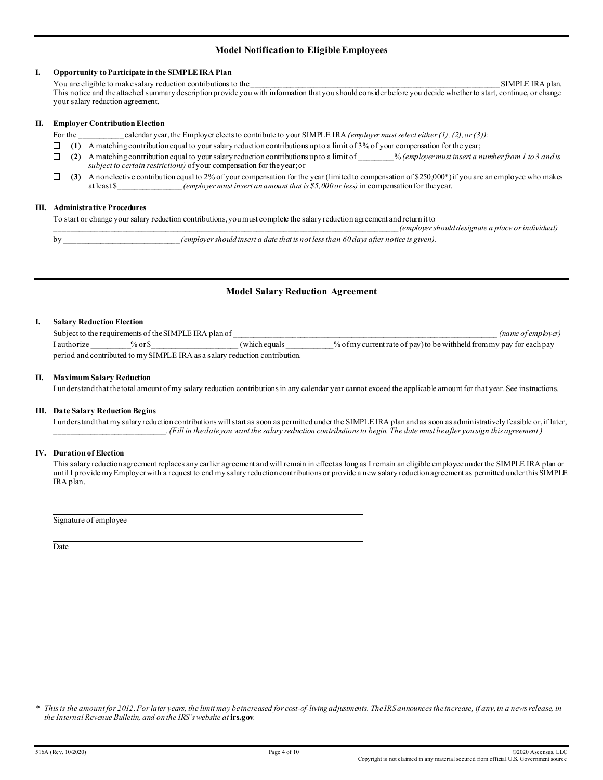### **Model Notification to Eligible Employees**

#### **I. Opportunity to Participate in the SIMPLE IRA Plan**

You are eligible to make salary reduction contributions to the  $\blacksquare$ This notice and the attached summary description provide you with information that you should consider before you decide whether to start, continue, or change your salary reduction agreement.

### **II. Employer Contribution Election**

For the calendar year, the Employer elects to contribute to your SIMPLE IRA *(employer must select either (1), (2), or (3)*):

- **(1)** A matching contribution equal to your salary reduction contributions up to a limit of 3% of your compensation for the year;  $\Box$
- **(2)** A matching contribution equal to your salary reduction contributions up to a limit of \_\_\_\_\_\_\_\_\_% *(employer must insert a number from 1 to 3 and is*  $\Box$ *subject to certain restrictions)* of your compensation for the year; or
- $\Box$ **(3)** A nonelective contribution equal to 2% of your compensation for the year (limited to compensation of \$250,000\*) if you are an employee who makes at least \$\_\_\_\_\_\_\_\_\_\_\_\_\_\_\_\_ *(employer must insert an amount that is \$5,000 or less)* in compensation for the year.

#### **III. Administrative Procedures**

To start or change your salary reduction contributions, you must complete the salary reduction agreement and return it to

\_\_\_\_\_\_\_\_\_\_\_\_\_\_\_\_\_\_\_\_\_\_\_\_\_\_\_\_\_\_\_\_\_\_\_\_\_\_\_\_\_\_\_\_\_\_\_\_\_\_\_\_\_\_\_\_\_\_\_\_\_\_\_\_\_\_\_\_\_\_\_\_\_\_\_\_\_\_\_\_\_\_\_\_\_\_\_ *(employer should designate a place or individual)*

by \_\_\_\_\_\_\_\_\_\_\_\_\_\_\_\_\_\_\_\_\_\_\_\_\_\_\_\_\_ *(employer should insert a date that is not less than 60 days after notice is given)*.

### **Model Salary Reduction Agreement**

#### **I. Salary Reduction Election**

Subject to the requirements of the SIMPLE IRA plan of  $(name of empty over)$ I authorize \_\_\_\_\_\_\_\_\_\_% or \$\_\_\_\_\_\_\_\_\_\_\_\_\_\_\_\_\_\_\_\_\_\_ (which equals \_\_\_\_\_\_\_\_\_\_\_\_% of my current rate of pay) to be withheld frommy pay for each pay period and contributed to my SIMPLE IRA as a salary reduction contribution.

### **II. Maximum Salary Reduction**

I understand that the total amount of my salary reduction contributions in any calendar year cannot exceed the applicable amount for that year. See instructions.

#### **III. Date Salary Reduction Begins**

I understand that my salary reduction contributions will start as soon as permitted under the SIMPLE IRA plan and as soon as administratively feasible or, if later, \_\_\_\_\_\_\_\_\_\_\_\_\_\_\_\_\_\_\_\_\_\_\_\_\_\_\_\_. *(Fill in the date you want the salary reduction contributions to begin. The date must be after you sign this agreement.)*

### **IV. Duration of Election**

This salary reduction agreement replaces any earlier agreement and will remain in effect as long as I remain an eligible employee under the SIMPLE IRA plan or until I provide my Employer with a request to end my salary reduction contributions or provide a new salary reduction agreement as permitted under this SIMPLE IRA plan.

Signature of employee

Date

*<sup>\*</sup> This is the amount for 2012. For later years, the limit may be increased for cost-of-living adjustments. The IRS announces the increase, if any, in a news release, in the Internal Revenue Bulletin, and on the IRS's website at* **irs.gov***.*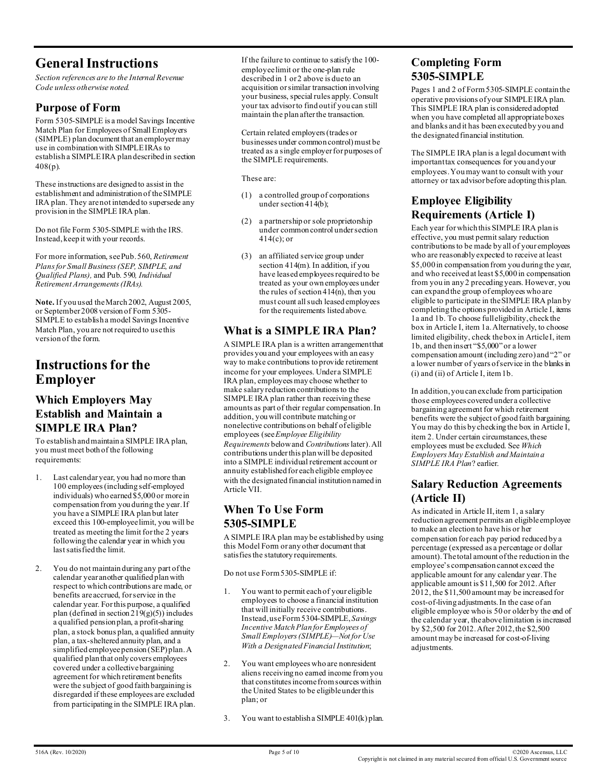# **General Instructions**

*Section references are to the Internal Revenue Code unless otherwise noted.*

## **Purpose of Form**

Form 5305-SIMPLE is a model Savings Incentive Match Plan for Employees of Small Employers (SIMPLE) plan document that an employer may use in combination with SIMPLE IRAs to establish a SIMPLE IRA plan described in section 408(p).

These instructions are designed to assist in the establishment and administration of the SIMPLE IRA plan. They are not intended to supersede any provision in the SIMPLE IRA plan.

Do not file Form 5305-SIMPLE with the IRS. Instead, keep it with your records.

For more information, see Pub. 560, *Retirement Plans for Small Business (SEP, SIMPLE, and Qualified Plans),* and Pub. 590*, Individual Retirement Arrangements (IRAs).*

**Note.** If you used the March 2002, August 2005, or September 2008 version of Form 5305- SIMPLE to establish a model Savings Incentive Match Plan, you are not required to use this version of the form.

# **Instructions for the Employer**

## **Which Employers May Establish and Maintain a SIMPLE IRA Plan?**

To establish and maintain a SIMPLE IRA plan, you must meet both of the following requirements:

- 1. Last calendar year, you had no more than 100 employees (including self-employed individuals) who earned \$5,000 or more in compensation from you during the year. If you have a SIMPLE IRA plan but later exceed this 100-employee limit, you will be treated as meeting the limit for the 2 years following the calendar year in which you last satisfied the limit.
- 2. You do not maintain during any part of the calendar year another qualified plan with respect to which contributions are made, or benefits are accrued, for service in the calendar year. For this purpose, a qualified plan (defined in section  $219(g)(5)$ ) includes a qualified pension plan, a profit-sharing plan, a stock bonus plan, a qualified annuity plan, a tax-sheltered annuity plan, and a simplified employee pension (SEP) plan. A qualified plan that only covers employees covered under a collective bargaining agreement for which retirement benefits were the subject of good faith bargaining is disregarded if these employees are excluded from participating in the SIMPLE IRA plan.

If the failure to continue to satisfy the 100 employee limit or the one-plan rule described in 1 or 2 above is due to an acquisition or similar transaction involving your business, special rules apply. Consult your tax advisor to find out if you can still maintain the plan after the transaction.

Certain related employers (trades or businesses under common control) must be treated as a single employer for purposes of the SIMPLE requirements.

These are:

- (1) a controlled group of corporations under section  $414(b)$ ;
- (2) a partnership or sole proprietorship under common control under section 414(c); or
- (3) an affiliated service group under section 414(m). In addition, if you have leased employees required to be treated as your own employees under the rules of section  $414(n)$ , then you must count all such leased employees for the requirements listed above.

# **What is a SIMPLE IRA Plan?**

A SIMPLE IRA plan is a written arrangement that provides you and your employees with an easy way to make contributions to provide retirement income for your employees. Under a SIMPLE IRA plan, employees may choose whether to make salary reduction contributions to the SIMPLE IRA plan rather than receiving these amounts as part of their regular compensation. In addition, you will contribute matching or nonelective contributions on behalf of eligible employees (see *Employee Eligibility Requirements* below and *Contributions*later). All contributions under this plan will be deposited into a SIMPLE individual retirement account or annuity established for each eligible employee with the designated financial institution named in Article VII.

# **When To Use Form 5305-SIMPLE**

A SIMPLE IRA plan may be established by using this Model Form or any other document that satisfies the statutory requirements.

Do not use Form 5305-SIMPLE if:

- 1. You want to permit each of your eligible employees to choose a financial institution that will initially receive contributions. Instead, use Form 5304-SIMPLE, *Savings Incentive Match Plan for Employees of Small Employers (SIMPLE)—Not for Use With a Designated Financial Institution*;
- You want employees who are nonresident aliens receiving no earned income from you that constitutes income from sources within the United States to be eligible under this plan; or
- 3. You want to establish a SIMPLE 401(k) plan.

# **Completing Form 5305-SIMPLE**

Pages 1 and 2 of Form 5305-SIMPLE contain the operative provisions of your SIMPLE IRA plan. This SIMPLE IRA plan is considered adopted when you have completed all appropriate boxes and blanks and it has been executed by you and the designated financial institution.

The SIMPLE IRA plan is a legal document with important tax consequences for you and your employees. You may want to consult with your attorney or tax advisor before adopting this plan.

# **Employee Eligibility Requirements (Article I)**

Each year for which this SIMPLE IRA plan is effective, you must permit salary reduction contributions to be made by all of your employees who are reasonably expected to receive at least \$5,000 in compensation from you during the year, and who received at least \$5,000 in compensation from you in any 2 preceding years. However, you can expand the group of employees who are eligible to participate in the SIMPLE IRA plan by completing the options provided in Article I, items 1a and 1b. To choose full eligibility, check the box in Article I, item 1a. Alternatively, to choose limited eligibility, check the box in Article I, item 1b, and then insert "\$5,000"or a lower compensation amount (including zero) and "2" or a lower number of years of service in the blanks in (i) and (ii) of Article I, item 1b.

In addition, you can exclude from participation those employees covered under a collective bargaining agreement for which retirement benefits were the subject of good faith bargaining. You may do this by checking the box in Article I, item 2. Under certain circumstances, these employees must be excluded. See *Which Employers May Establish and Maintain a SIMPLE IRA Plan*? earlier.

# **Salary Reduction Agreements (Article II)**

As indicated in Article II, item 1, a salary reduction agreement permits an eligible employee to make an election to have his or her compensation for each pay period reduced by a percentage (expressed as a percentage or dollar amount). The total amount of the reduction in the employee's compensation cannot exceed the applicable amount for any calendar year.The applicable amount is \$11,500 for 2012. After 2012, the \$11,500 amount may be increased for cost-of-living adjustments. In the case of an eligible employee who is 50 or older by the end of the calendar year, the above limitation is increased by \$2,500 for 2012. After 2012, the \$2,500 amount may be increased for cost-of-living adjustments.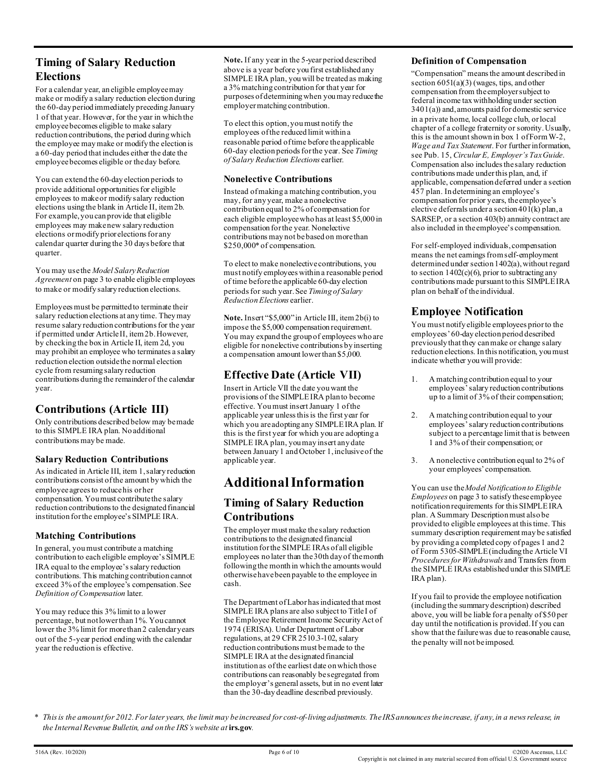# **Timing of Salary Reduction Elections**

For a calendar year, an eligible employee may make or modify a salary reduction election during the 60-day period immediately preceding January 1 of that year. However, for the year in which the employee becomes eligible to make salary reduction contributions, the period during which the employee may make or modify the election is a 60-day period that includes either the date the employee becomes eligible or the day before.

You can extend the 60-day election periods to provide additional opportunities for eligible employees to make or modify salary reduction elections using the blank in Article II, item 2b. For example, you can provide that eligible employees may make new salary reduction elections or modify prior elections for any calendar quarter during the 30 days before that quarter.

You may use the *Model Salary Reduction Agreement* on page 3 to enable eligible employees to make or modify salary reduction elections.

Employees must be permitted to terminate their salary reduction elections at any time. They may resume salary reduction contributions for the year if permitted under Article II, item 2b. However, by checking the box in Article II, item 2d, you may prohibit an employee who terminates a salary reduction election outside the normal election cycle from resuming salary reduction contributions during the remainder of the calendar year.

## **Contributions (Article III)**

Only contributions described below may be made to this SIMPLE IRA plan. No additional contributions may be made.

### **Salary Reduction Contributions**

As indicated in Article III, item 1, salary reduction contributions consist of the amount by which the employee agrees to reduce his or her compensation. You must contribute the salary reduction contributions to the designated financial institution for the employee's SIMPLE IRA.

### **Matching Contributions**

In general, you must contribute a matching contribution to each eligible employee's SIMPLE IRA equal to the employee's salary reduction contributions. This matching contribution cannot exceed 3% of the employee's compensation. See *Definition of Compensation* later.

You may reduce this 3% limit to a lower percentage, but not lower than 1%. You cannot lower the 3% limit for more than 2 calendar years out of the 5-year period ending with the calendar year the reduction is effective.

**Note.** If any year in the 5-year period described above is a year before you first established any SIMPLE IRA plan, you will be treated as making a 3% matching contribution for that year for purposes of determining when you may reduce the employer matching contribution.

To elect this option, you must notify the employees of the reduced limit within a reasonable period of time before the applicable 60-day election periods for the year. See *Timing of Salary Reduction Elections* earlier.

### **Nonelective Contributions**

Instead of making a matching contribution, you may, for any year, make a nonelective contribution equal to 2% of compensation for each eligible employee who has at least \$5,000 in compensation for the year. Nonelective contributions may not be based on more than \$250,000\* of compensation.

To elect to make nonelective contributions, you must notify employees within a reasonable period of time before the applicable 60-day election periods for such year. See *Timing of Salary Reduction Elections* earlier.

**Note.** Insert "\$5,000"in Article III, item 2b(i) to impose the \$5,000 compensation requirement. You may expand the group of employees who are eligible for nonelective contributions by inserting a compensation amount lower than \$5,000.

# **Effective Date (Article VII)**

Insert in Article VII the date you want the provisions of the SIMPLE IRA plan to become effective. You must insert January 1 of the applicable year unless this is the first year for which you are adopting any SIMPLE IRA plan. If this is the first year for which you are adopting a SIMPLE IRA plan, you may insert any date between January 1 and October 1, inclusive of the applicable year.

# **Additional Information**

### **Timing of Salary Reduction Contributions**

The employer must make the salary reduction contributions to the designated financial institution for the SIMPLE IRAs of all eligible employees no later than the 30th day of the month following the month in which the amounts would otherwise have been payable to the employee in cash.

The Department of Labor has indicated that most SIMPLE IRA plans are also subject to Title I of the Employee Retirement Income Security Act of 1974 (ERISA). Under Department of Labor regulations, at 29 CFR 2510.3-102, salary reduction contributions must be made to the SIMPLE IRA at the designated financial institution as of the earliest date on which those contributions can reasonably be segregated from the employer's general assets, but in no event later than the 30-day deadline described previously.

### **Definition of Compensation**

"Compensation" means the amount described in section  $6051(a)(3)$  (wages, tips, and other compensation from the employer subject to federal income tax withholding under section 3401(a)) and, amounts paid for domestic service in a private home, local college club, or local chapter of a college fraternity or sorority. Usually, this is the amount shown in box 1 of Form W-2, *Wage and Tax Statement*. For further information, see Pub. 15, *Circular E, Employer's Tax Guide*. Compensation also includes the salary reduction contributions made under this plan, and, if applicable, compensation deferred under a section 457 plan. In determining an employee's compensation for prior years, the employee's elective deferrals under a section  $401(k)$  plan, a SARSEP, or a section 403(b) annuity contract are also included in the employee's compensation.

For self-employed individuals, compensation means the net earnings from self-employment determined under section 1402(a), without regard to section  $1402(c)(6)$ , prior to subtracting any contributions made pursuant to this SIMPLE IRA plan on behalf of the individual.

# **Employee Notification**

You must notify eligible employees prior to the employees'60-day election period described previously that they can make or change salary reduction elections. In this notification, you must indicate whether you will provide:

- 1. A matching contribution equal to your employees'salary reduction contributions up to a limit of 3% of their compensation;
- 2. A matching contribution equal to your employees'salary reduction contributions subject to a percentage limit that is between 1 and 3% of their compensation; or
- 3. A nonelective contribution equal to 2% of your employees' compensation.

You can use the *Model Notification to Eligible Employees* on page 3 to satisfy these employee notification requirements for this SIMPLE IRA plan. A Summary Description must also be provided to eligible employees at this time. This summary description requirement may be satisfied by providing a completed copy of pages 1 and 2 of Form 5305-SIMPLE (including the Article VI *Procedures for Withdrawals* and Transfers from the SIMPLE IRAs established under this SIMPLE IRA plan).

If you fail to provide the employee notification (including the summary description) described above, you will be liable for a penalty of \$50 per day until the notification is provided. If you can show that the failure was due to reasonable cause, the penalty will not be imposed.

*\* This is the amount for 2012. For later years, the limit may be increased for cost-of-living adjustments. The IRS announces the increase, if any, in a news release, in the Internal Revenue Bulletin, and on the IRS's website at* **irs.gov***.*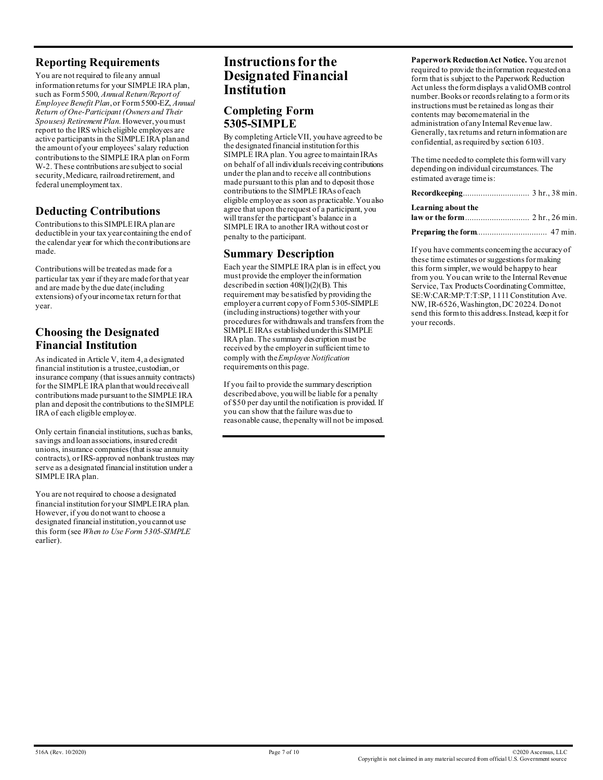# **Reporting Requirements**

You are not required to file any annual information returns for your SIMPLE IRA plan, such as Form 5500, *Annual Return/Report of Employee Benefit Plan*,or Form 5500-EZ, *Annual Return of One-Participant (Owners and Their Spouses) Retirement Plan*. However, you must report to the IRS which eligible employees are active participants in the SIMPLE IRA plan and the amount of your employees'salary reduction contributions to the SIMPLE IRA plan on Form W-2. These contributions are subject to social security, Medicare, railroad retirement, and federal unemployment tax.

# **Deducting Contributions**

Contributions to this SIMPLE IRA plan are deductible in your tax year containing the end of the calendar year for which the contributions are made.

Contributions will be treated as made for a particular tax year if they are made for that year and are made by the due date (including extensions) of your income tax return for that year.

## **Choosing the Designated Financial Institution**

As indicated in Article V, item 4, a designated financial institution is a trustee, custodian, or insurance company (that issues annuity contracts) for the SIMPLE IRA plan that would receive all contributions made pursuant to the SIMPLE IRA plan and deposit the contributions to the SIMPLE IRA of each eligible employee.

Only certain financial institutions, such as banks, savings and loan associations, insured credit unions, insurance companies (that issue annuity contracts), or IRS-approved nonbank trustees may serve as a designated financial institution under a SIMPLE IRA plan.

You are not required to choose a designated financial institution for your SIMPLE IRA plan. However, if you do not want to choose a designated financial institution, you cannot use this form (see *When to Use Form 5305-SIMPLE* earlier).

# **Instructions for the Designated Financial Institution**

# **Completing Form 5305-SIMPLE**

By completing Article VII, you have agreed to be the designated financial institution for this SIMPLE IRA plan. You agree to maintain IRAs on behalf of all individuals receiving contributions under the plan and to receive all contributions made pursuant to this plan and to deposit those contributions to the SIMPLE IRAs of each eligible employee as soon as practicable. You also agree that upon the request of a participant, you will transfer the participant's balance in a SIMPLE IRA to another IRA without cost or penalty to the participant.

## **Summary Description**

Each year the SIMPLE IRA plan is in effect, you must provide the employer the information described in section 408(l)(2)(B). This requirement may be satisfied by providing the employer a current copy of Form 5305-SIMPLE (including instructions) together with your procedures for withdrawals and transfers from the SIMPLE IRAs established under this SIMPLE IRA plan. The summary description must be received by the employer in sufficient time to comply with the *Employee Notification* requirements on this page.

If you fail to provide the summary description described above, you will be liable for a penalty of \$50 per day until the notification is provided. If you can show that the failure was due to reasonable cause, the penalty will not be imposed.

**Paperwork Reduction Act Notice.** You are not required to provide the information requested on a form that is subject to the Paperwork Reduction Act unless the form displays a valid OMB control number. Books or records relating to a form or its instructions must be retained as long as their contents may become material in the administration of any Internal Revenue law. Generally, tax returns and return information are confidential, as required by section 6103.

The time needed to complete this form will vary depending on individual circumstances. The estimated average time is:

| Learning about the |  |
|--------------------|--|
|                    |  |
|                    |  |

If you have comments concerning the accuracy of these time estimates or suggestions for making this form simpler, we would be happy to hear from you. You can write to the Internal Revenue Service, Tax Products Coordinating Committee, SE:W:CAR:MP:T:T:SP, 1111 Constitution Ave. NW, IR-6526, Washington, DC 20224. Do not send this form to this address. Instead, keep it for your records.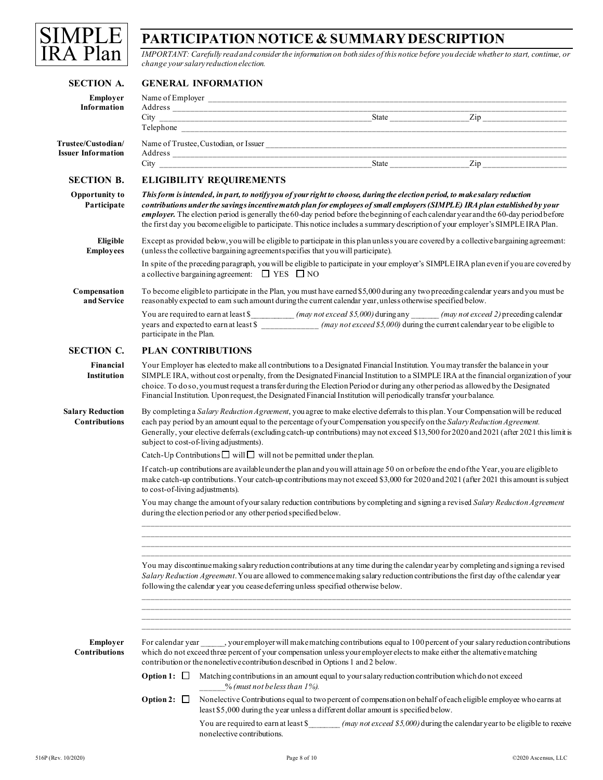

# **PARTICIPATION NOTICE & SUMMARY DESCRIPTION**

*IMPORTANT: Carefully read and consider the information on both sides of this notice before you decide whether to start, continue, or change your salary reduction election.* 

| <b>SECTION A.</b>                               |                                                                                                                                                                                                                                                                                                                                                                                                                                                                                                                                       | <b>GENERAL INFORMATION</b>                                                      |                                                                                                             |                                                                                                                                                                                                                                                                                 |  |  |
|-------------------------------------------------|---------------------------------------------------------------------------------------------------------------------------------------------------------------------------------------------------------------------------------------------------------------------------------------------------------------------------------------------------------------------------------------------------------------------------------------------------------------------------------------------------------------------------------------|---------------------------------------------------------------------------------|-------------------------------------------------------------------------------------------------------------|---------------------------------------------------------------------------------------------------------------------------------------------------------------------------------------------------------------------------------------------------------------------------------|--|--|
| <b>Employer</b><br>Information                  |                                                                                                                                                                                                                                                                                                                                                                                                                                                                                                                                       |                                                                                 |                                                                                                             |                                                                                                                                                                                                                                                                                 |  |  |
|                                                 |                                                                                                                                                                                                                                                                                                                                                                                                                                                                                                                                       |                                                                                 |                                                                                                             |                                                                                                                                                                                                                                                                                 |  |  |
| Trustee/Custodian/<br><b>Issuer Information</b> |                                                                                                                                                                                                                                                                                                                                                                                                                                                                                                                                       |                                                                                 |                                                                                                             |                                                                                                                                                                                                                                                                                 |  |  |
| <b>SECTION B.</b>                               |                                                                                                                                                                                                                                                                                                                                                                                                                                                                                                                                       | <b>ELIGIBILITY REQUIREMENTS</b>                                                 |                                                                                                             |                                                                                                                                                                                                                                                                                 |  |  |
| <b>Opportunity to</b><br>Participate            | This form is intended, in part, to notifyyou of your right to choose, during the election period, to make salary reduction<br>contributions under the savings incentive match plan for employees of small employers (SIMPLE) IRA plan established by your<br>employer. The election period is generally the 60-day period before the beginning of each calendar year and the 60-day period before<br>the first day you become eligible to participate. This notice includes a summary description of your employer's SIMPLE IRA Plan. |                                                                                 |                                                                                                             |                                                                                                                                                                                                                                                                                 |  |  |
| Eligible<br><b>Employees</b>                    |                                                                                                                                                                                                                                                                                                                                                                                                                                                                                                                                       |                                                                                 | (unless the collective bargaining agreement specifies that you will participate).                           | Except as provided below, you will be eligible to participate in this plan unless you are covered by a collective bargaining agreement:                                                                                                                                         |  |  |
|                                                 | In spite of the preceding paragraph, you will be eligible to participate in your employer's SIMPLE IRA plan even if you are covered by<br>a collective bargaining agreement: $\square$ YES $\square$ NO                                                                                                                                                                                                                                                                                                                               |                                                                                 |                                                                                                             |                                                                                                                                                                                                                                                                                 |  |  |
| Compensation<br>and Service                     |                                                                                                                                                                                                                                                                                                                                                                                                                                                                                                                                       |                                                                                 | reasonably expected to earn such amount during the current calendar year, unless otherwise specified below. | To become eligible to participate in the Plan, you must have earned \$5,000 during any two preceding calendar years and you must be                                                                                                                                             |  |  |
|                                                 | participate in the Plan.                                                                                                                                                                                                                                                                                                                                                                                                                                                                                                              |                                                                                 |                                                                                                             | You are required to earn at least \$__________(may not exceed \$5,000) during any ______(may not exceed 2) preceding calendar<br>years and expected to earn at least $\frac{1}{2}$ ________________ (may not exceed \$5,000) during the current calendar year to be eligible to |  |  |
| <b>SECTION C.</b>                               |                                                                                                                                                                                                                                                                                                                                                                                                                                                                                                                                       | PLAN CONTRIBUTIONS                                                              |                                                                                                             |                                                                                                                                                                                                                                                                                 |  |  |
| Financial<br>Institution                        | Your Employer has elected to make all contributions to a Designated Financial Institution. You may transfer the balance in your<br>SIMPLE IRA, without cost or penalty, from the Designated Financial Institution to a SIMPLE IRA at the financial organization of your<br>choice. To do so, you must request a transfer during the Election Period or during any other period as allowed by the Designated<br>Financial Institution. Upon request, the Designated Financial Institution will periodically transfer your balance.     |                                                                                 |                                                                                                             |                                                                                                                                                                                                                                                                                 |  |  |
| <b>Salary Reduction</b><br><b>Contributions</b> | By completing a Salary Reduction Agreement, you agree to make elective deferrals to this plan. Your Compensation will be reduced<br>each pay period by an amount equal to the percentage of your Compensation you specify on the Salary Reduction Agreement.<br>Generally, your elective deferrals (excluding catch-up contributions) may not exceed \$13,500 for 2020 and 2021 (after 2021 this limit is<br>subject to cost-of-living adjustments).                                                                                  |                                                                                 |                                                                                                             |                                                                                                                                                                                                                                                                                 |  |  |
|                                                 |                                                                                                                                                                                                                                                                                                                                                                                                                                                                                                                                       | Catch-Up Contributions $\Box$ will $\Box$ will not be permitted under the plan. |                                                                                                             |                                                                                                                                                                                                                                                                                 |  |  |
|                                                 | If catch-up contributions are available under the plan and you will attain age 50 on or before the end of the Year, you are eligible to<br>make catch-up contributions. Your catch-up contributions may not exceed \$3,000 for 2020 and 2021 (after 2021 this amount is subject<br>to cost-of-living adjustments).                                                                                                                                                                                                                    |                                                                                 |                                                                                                             |                                                                                                                                                                                                                                                                                 |  |  |
|                                                 | You may change the amount of your salary reduction contributions by completing and signing a revised Salary Reduction Agreement<br>during the election period or any other period specified below.                                                                                                                                                                                                                                                                                                                                    |                                                                                 |                                                                                                             |                                                                                                                                                                                                                                                                                 |  |  |
|                                                 |                                                                                                                                                                                                                                                                                                                                                                                                                                                                                                                                       |                                                                                 |                                                                                                             |                                                                                                                                                                                                                                                                                 |  |  |
|                                                 | You may discontinue making salary reduction contributions at any time during the calendar year by completing and signing a revised<br>Salary Reduction Agreement. You are allowed to commence making salary reduction contributions the first day of the calendar year<br>following the calendar year you cease deferring unless specified otherwise below.                                                                                                                                                                           |                                                                                 |                                                                                                             |                                                                                                                                                                                                                                                                                 |  |  |
|                                                 |                                                                                                                                                                                                                                                                                                                                                                                                                                                                                                                                       |                                                                                 |                                                                                                             |                                                                                                                                                                                                                                                                                 |  |  |
| Employer<br><b>Contributions</b>                | For calendar year _______, your employer will make matching contributions equal to 100 percent of your salary reduction contributions<br>which do not exceed three percent of your compensation unless your employer elects to make either the alternative matching<br>contribution or the nonelective contribution described in Options 1 and 2 below.                                                                                                                                                                               |                                                                                 |                                                                                                             |                                                                                                                                                                                                                                                                                 |  |  |
|                                                 | Option 1: $\Box$                                                                                                                                                                                                                                                                                                                                                                                                                                                                                                                      | $%$ (must not be less than 1%).                                                 | Matching contributions in an amount equal to your salary reduction contribution which do not exceed         |                                                                                                                                                                                                                                                                                 |  |  |
|                                                 | Option 2: $\Box$                                                                                                                                                                                                                                                                                                                                                                                                                                                                                                                      |                                                                                 | least \$5,000 during the year unless a different dollar amount is specified below.                          | Nonelective Contributions equal to two percent of compensation on behalf of each eligible employee who earns at                                                                                                                                                                 |  |  |
|                                                 |                                                                                                                                                                                                                                                                                                                                                                                                                                                                                                                                       | nonelective contributions.                                                      |                                                                                                             | You are required to earn at least $\frac{2}{3}$ (may not exceed \$5,000) during the calendary earto be eligible to receive                                                                                                                                                      |  |  |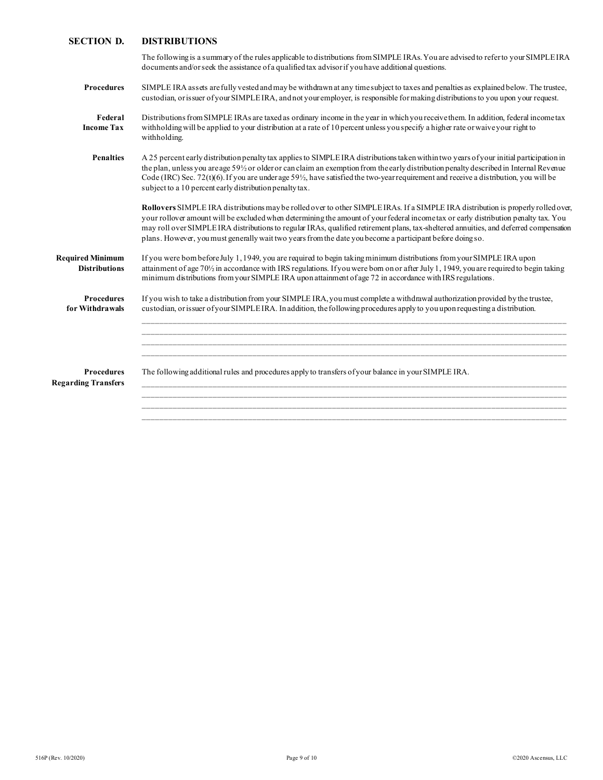### **SECTION D. DISTRIBUTIONS**

|                                                 | The following is a summary of the rules applicable to distributions from SIMPLE IRAs. You are advised to refer to your SIMPLE IRA<br>documents and/or seek the assistance of a qualified tax advisor if you have additional questions.                                                                                                                                                                                                                                                                                         |
|-------------------------------------------------|--------------------------------------------------------------------------------------------------------------------------------------------------------------------------------------------------------------------------------------------------------------------------------------------------------------------------------------------------------------------------------------------------------------------------------------------------------------------------------------------------------------------------------|
| <b>Procedures</b>                               | SIMPLE IRA assets are fully vested and may be withdrawn at any time subject to taxes and penalties as explained below. The trustee,<br>custodian, or issuer of your SIMPLEIRA, and not your employer, is responsible for making distributions to you upon your request.                                                                                                                                                                                                                                                        |
| Federal<br><b>Income Tax</b>                    | Distributions from SIMPLE IRAs are taxed as ordinary income in the year in which you receive them. In addition, federal income tax<br>withholding will be applied to your distribution at a rate of 10 percent unless you specify a higher rate or waive your right to<br>withholding.                                                                                                                                                                                                                                         |
| <b>Penalties</b>                                | A 25 percent early distribution penalty tax applies to SIMPLE IRA distributions taken within two years of your initial participation in<br>the plan, unless you are age 59% or older or can claim an exemption from the early distribution penalty described in Internal Revenue<br>Code (IRC) Sec. 72(t)(6). If you are under age 59 $\frac{1}{2}$ , have satisfied the two-year requirement and receive a distribution, you will be<br>subject to a 10 percent early distribution penalty tax.                               |
|                                                 | Rollovers SIMPLE IRA distributions may be rolled over to other SIMPLE IRAs. If a SIMPLE IRA distribution is properly rolled over,<br>your rollover amount will be excluded when determining the amount of your federal incometax or early distribution penalty tax. You<br>may roll over SIMPLE IRA distributions to regular IRAs, qualified retirement plans, tax-sheltered annuities, and deferred compensation<br>plans. However, you must generally wait two years from the date you become a participant before doing so. |
| <b>Required Minimum</b><br><b>Distributions</b> | If you were bom before July 1, 1949, you are required to begin taking minimum distributions from your SIMPLE IRA upon<br>attainment of age 70% in accordance with IRS regulations. If you were bom on or after July 1, 1949, you are required to begin taking<br>minimum distributions from your SIMPLE IRA upon attainment of age 72 in accordance with IRS regulations.                                                                                                                                                      |
| <b>Procedures</b><br>for Withdrawals            | If you wish to take a distribution from your SIMPLE IRA, you must complete a withdrawal authorization provided by the trustee,<br>custodian, or issuer of your SIMPLEIRA. In addition, the following procedures apply to you upon requesting a distribution.                                                                                                                                                                                                                                                                   |
|                                                 |                                                                                                                                                                                                                                                                                                                                                                                                                                                                                                                                |
| <b>Procedures</b><br><b>Regarding Transfers</b> | The following additional rules and procedures apply to transfers of your balance in your SIMPLE IRA.                                                                                                                                                                                                                                                                                                                                                                                                                           |
|                                                 |                                                                                                                                                                                                                                                                                                                                                                                                                                                                                                                                |